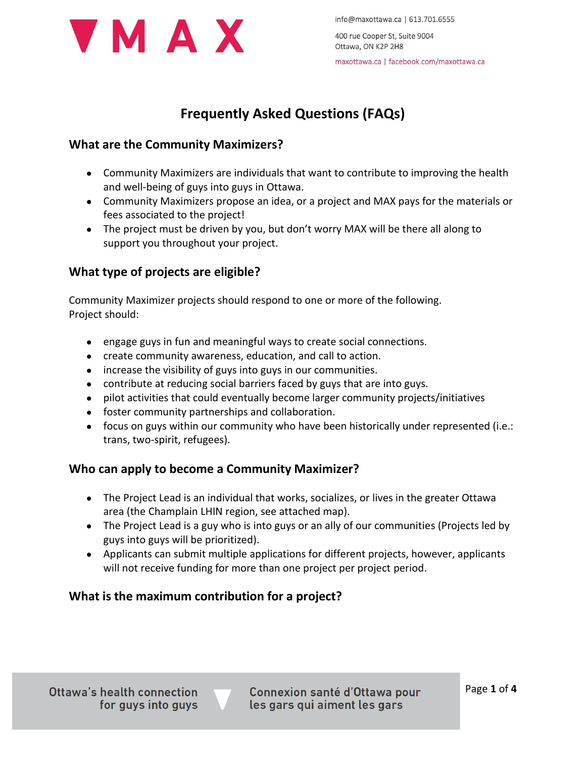

info@maxottawa.ca | 613.701.6555

400 rue Cooper St, Suite 9004 Ottawa, ON K2P 2H8

maxottawa.ca | facebook.com/maxottawa.ca

# **Frequently Asked Questions (FAQs)**

### **What are the Community Maximizers?**

- Community Maximizers are individuals that want to contribute to improving the health and well-being of guys into guys in Ottawa.
- Community Maximizers propose an idea, or a project and MAX pays for the materials or fees associated to the project!
- The project must be driven by you, but don't worry MAX will be there all along to support you throughout your project.

# **What type of projects are eligible?**

Community Maximizer projects should respond to one or more of the following. Project should:

- engage guys in fun and meaningful ways to create social connections.
- create community awareness, education, and call to action.
- increase the visibility of guys into guys in our communities.
- contribute at reducing social barriers faced by guys that are into guys.
- pilot activities that could eventually become larger community projects/initiatives
- foster community partnerships and collaboration.
- focus on guys within our community who have been historically under represented (i.e.: trans, two-spirit, refugees).

# **Who can apply to become a Community Maximizer?**

- The Project Lead is an individual that works, socializes, or lives in the greater Ottawa area (the Champlain LHIN region, see attached map).
- The Project Lead is a guy who is into guys or an ally of our communities (Projects led by guys into guys will be prioritized).
- Applicants can submit multiple applications for different projects, however, applicants will not receive funding for more than one project per project period.

# **What is the maximum contribution for a project?**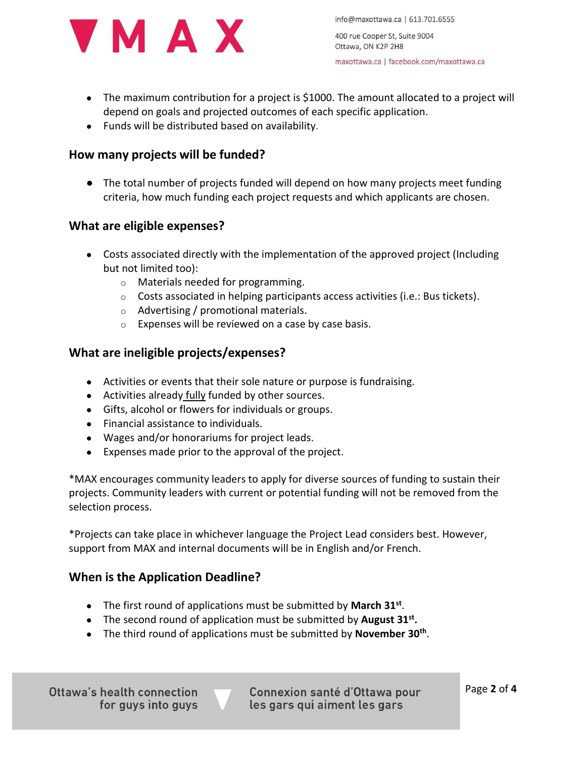

info@maxottawa.ca | 613.701.6555 400 rue Cooper St, Suite 9004 Ottawa, ON K2P 2H8 maxottawa.ca | facebook.com/maxottawa.ca

- The maximum contribution for a project is \$1000. The amount allocated to a project will depend on goals and projected outcomes of each specific application.
- Funds will be distributed based on availability.

# **How many projects will be funded?**

● The total number of projects funded will depend on how many projects meet funding criteria, how much funding each project requests and which applicants are chosen.

### **What are eligible expenses?**

- Costs associated directly with the implementation of the approved project (Including but not limited too):
	- o Materials needed for programming.
	- $\circ$  Costs associated in helping participants access activities (i.e.: Bus tickets).
	- o Advertising / promotional materials.
	- $\circ$  Expenses will be reviewed on a case by case basis.

# **What are ineligible projects/expenses?**

- Activities or events that their sole nature or purpose is fundraising.
- Activities already fully funded by other sources.
- Gifts, alcohol or flowers for individuals or groups.
- Financial assistance to individuals.
- Wages and/or honorariums for project leads.
- Expenses made prior to the approval of the project.

\*MAX encourages community leaders to apply for diverse sources of funding to sustain their projects. Community leaders with current or potential funding will not be removed from the selection process.

\*Projects can take place in whichever language the Project Lead considers best. However, support from MAX and internal documents will be in English and/or French.

# **When is the Application Deadline?**

- The first round of applications must be submitted by **March 31st** .
- The second round of application must be submitted by **August 31st .**
- The third round of applications must be submitted by **November 30th** .

Ottawa's health connection for guys into guys

**Connexion santé d'Ottawa pour** les gars qui aiment les gars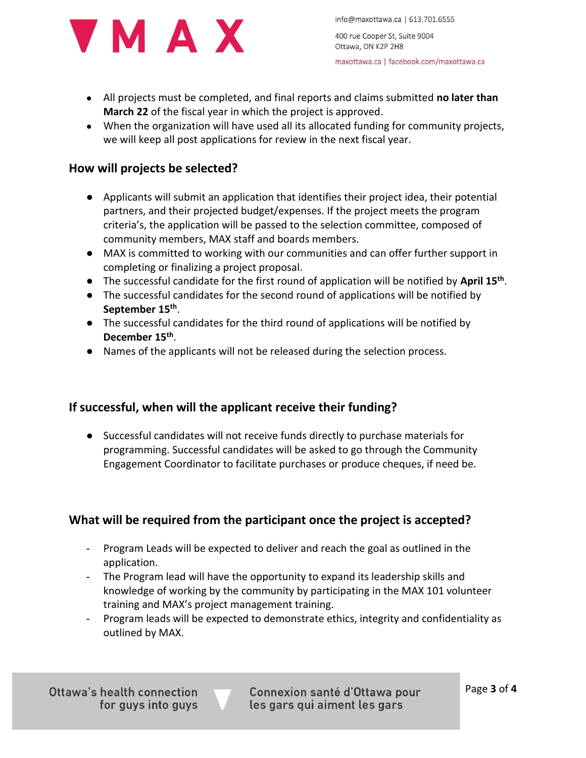

info@maxottawa.ca | 613.701.6555

400 rue Cooper St, Suite 9004 Ottawa, ON K2P 2H8

maxottawa.ca | facebook.com/maxottawa.ca

- All projects must be completed, and final reports and claims submitted **no later than March 22** of the fiscal year in which the project is approved.
- When the organization will have used all its allocated funding for community projects, we will keep all post applications for review in the next fiscal year.

### **How will projects be selected?**

- Applicants will submit an application that identifies their project idea, their potential partners, and their projected budget/expenses. If the project meets the program criteria's, the application will be passed to the selection committee, composed of community members, MAX staff and boards members.
- MAX is committed to working with our communities and can offer further support in completing or finalizing a project proposal.
- The successful candidate for the first round of application will be notified by **April 15th** .
- The successful candidates for the second round of applications will be notified by **September 15th** .
- The successful candidates for the third round of applications will be notified by **December 15th** .
- Names of the applicants will not be released during the selection process.

# **If successful, when will the applicant receive their funding?**

● Successful candidates will not receive funds directly to purchase materials for programming. Successful candidates will be asked to go through the Community Engagement Coordinator to facilitate purchases or produce cheques, if need be.

# **What will be required from the participant once the project is accepted?**

- Program Leads will be expected to deliver and reach the goal as outlined in the application.
- The Program lead will have the opportunity to expand its leadership skills and knowledge of working by the community by participating in the MAX 101 volunteer training and MAX's project management training.
- Program leads will be expected to demonstrate ethics, integrity and confidentiality as outlined by MAX.

Ottawa's health connection for guys into guys

**Connexion santé d'Ottawa pour** les gars qui aiment les gars